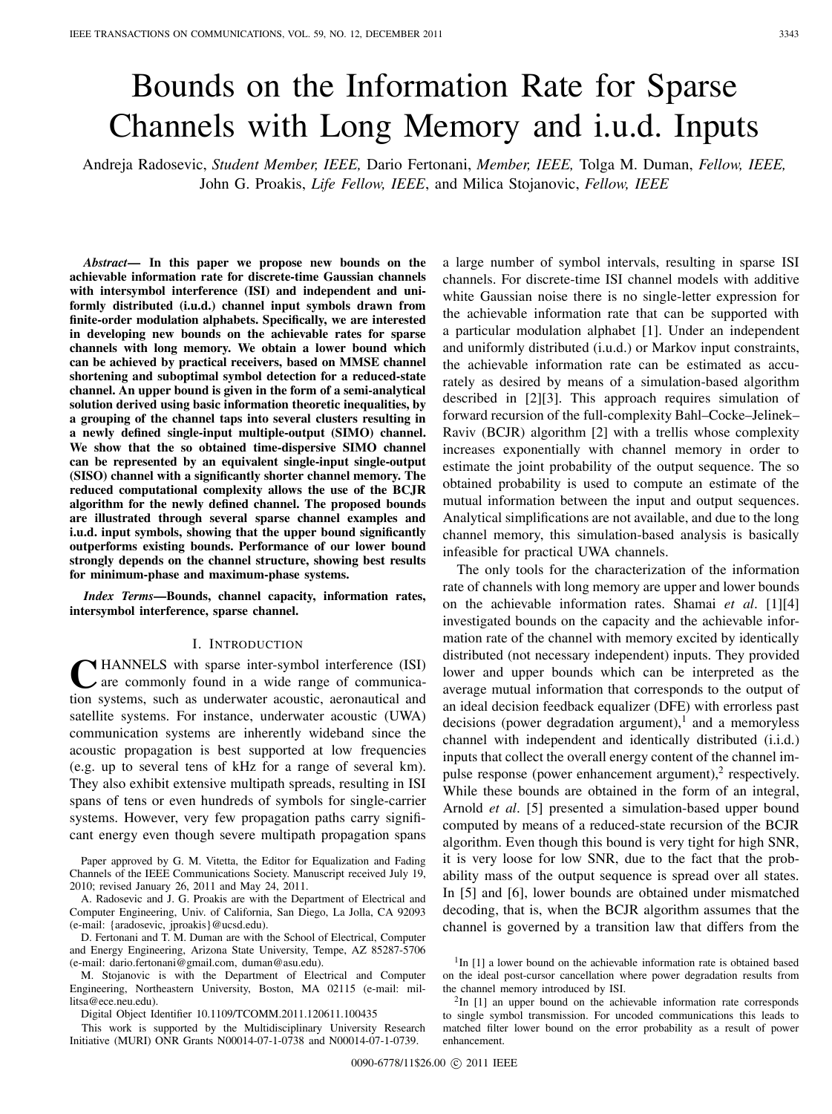# Bounds on the Information Rate for Sparse Channels with Long Memory and i.u.d. Inputs

Andreja Radosevic, *Student Member, IEEE,* Dario Fertonani, *Member, IEEE,* Tolga M. Duman, *Fellow, IEEE,* John G. Proakis, *Life Fellow, IEEE*, and Milica Stojanovic, *Fellow, IEEE*

*Abstract***— In this paper we propose new bounds on the achievable information rate for discrete-time Gaussian channels with intersymbol interference (ISI) and independent and uniformly distributed (i.u.d.) channel input symbols drawn from finite-order modulation alphabets. Specifically, we are interested in developing new bounds on the achievable rates for sparse channels with long memory. We obtain a lower bound which can be achieved by practical receivers, based on MMSE channel shortening and suboptimal symbol detection for a reduced-state channel. An upper bound is given in the form of a semi-analytical solution derived using basic information theoretic inequalities, by a grouping of the channel taps into several clusters resulting in a newly defined single-input multiple-output (SIMO) channel. We show that the so obtained time-dispersive SIMO channel can be represented by an equivalent single-input single-output (SISO) channel with a significantly shorter channel memory. The reduced computational complexity allows the use of the BCJR algorithm for the newly defined channel. The proposed bounds are illustrated through several sparse channel examples and i.u.d. input symbols, showing that the upper bound significantly outperforms existing bounds. Performance of our lower bound strongly depends on the channel structure, showing best results for minimum-phase and maximum-phase systems.**

*Index Terms***—Bounds, channel capacity, information rates, intersymbol interference, sparse channel.**

#### I. INTRODUCTION

**C**HANNELS with sparse inter-symbol interference (ISI) are commonly found in a wide range of communication systems, such as underwater acoustic, aeronautical and satellite systems. For instance, underwater acoustic (UWA) communication systems are inherently wideband since the acoustic propagation is best supported at low frequencies (e.g. up to several tens of kHz for a range of several km). They also exhibit extensive multipath spreads, resulting in ISI spans of tens or even hundreds of symbols for single-carrier systems. However, very few propagation paths carry significant energy even though severe multipath propagation spans

Paper approved by G. M. Vitetta, the Editor for Equalization and Fading Channels of the IEEE Communications Society. Manuscript received July 19, 2010; revised January 26, 2011 and May 24, 2011.

A. Radosevic and J. G. Proakis are with the Department of Electrical and Computer Engineering, Univ. of California, San Diego, La Jolla, CA 92093 (e-mail: {aradosevic, jproakis}@ucsd.edu).

D. Fertonani and T. M. Duman are with the School of Electrical, Computer and Energy Engineering, Arizona State University, Tempe, AZ 85287-5706 (e-mail: dario.fertonani@gmail.com, duman@asu.edu).

M. Stojanovic is with the Department of Electrical and Computer Engineering, Northeastern University, Boston, MA 02115 (e-mail: millitsa@ece.neu.edu).

Digital Object Identifier 10.1109/TCOMM.2011.120611.100435

This work is supported by the Multidisciplinary University Research Initiative (MURI) ONR Grants N00014-07-1-0738 and N00014-07-1-0739.

a large number of symbol intervals, resulting in sparse ISI channels. For discrete-time ISI channel models with additive white Gaussian noise there is no single-letter expression for the achievable information rate that can be supported with a particular modulation alphabet [1]. Under an independent and uniformly distributed (i.u.d.) or Markov input constraints, the achievable information rate can be estimated as accurately as desired by means of a simulation-based algorithm described in [2][3]. This approach requires simulation of forward recursion of the full-complexity Bahl–Cocke–Jelinek– Raviv (BCJR) algorithm [2] with a trellis whose complexity increases exponentially with channel memory in order to estimate the joint probability of the output sequence. The so obtained probability is used to compute an estimate of the mutual information between the input and output sequences. Analytical simplifications are not available, and due to the long channel memory, this simulation-based analysis is basically infeasible for practical UWA channels.

The only tools for the characterization of the information rate of channels with long memory are upper and lower bounds on the achievable information rates. Shamai *et al*. [1][4] investigated bounds on the capacity and the achievable information rate of the channel with memory excited by identically distributed (not necessary independent) inputs. They provided lower and upper bounds which can be interpreted as the average mutual information that corresponds to the output of an ideal decision feedback equalizer (DFE) with errorless past decisions (power degradation argument),<sup>1</sup> and a memoryless channel with independent and identically distributed (i.i.d.) inputs that collect the overall energy content of the channel impulse response (power enhancement argument), $^{2}$  respectively. While these bounds are obtained in the form of an integral, Arnold *et al*. [5] presented a simulation-based upper bound computed by means of a reduced-state recursion of the BCJR algorithm. Even though this bound is very tight for high SNR, it is very loose for low SNR, due to the fact that the probability mass of the output sequence is spread over all states. In [5] and [6], lower bounds are obtained under mismatched decoding, that is, when the BCJR algorithm assumes that the channel is governed by a transition law that differs from the

<sup>&</sup>lt;sup>1</sup>In [1] a lower bound on the achievable information rate is obtained based on the ideal post-cursor cancellation where power degradation results from the channel memory introduced by ISI.

 $2$ In [1] an upper bound on the achievable information rate corresponds to single symbol transmission. For uncoded communications this leads to matched filter lower bound on the error probability as a result of power enhancement.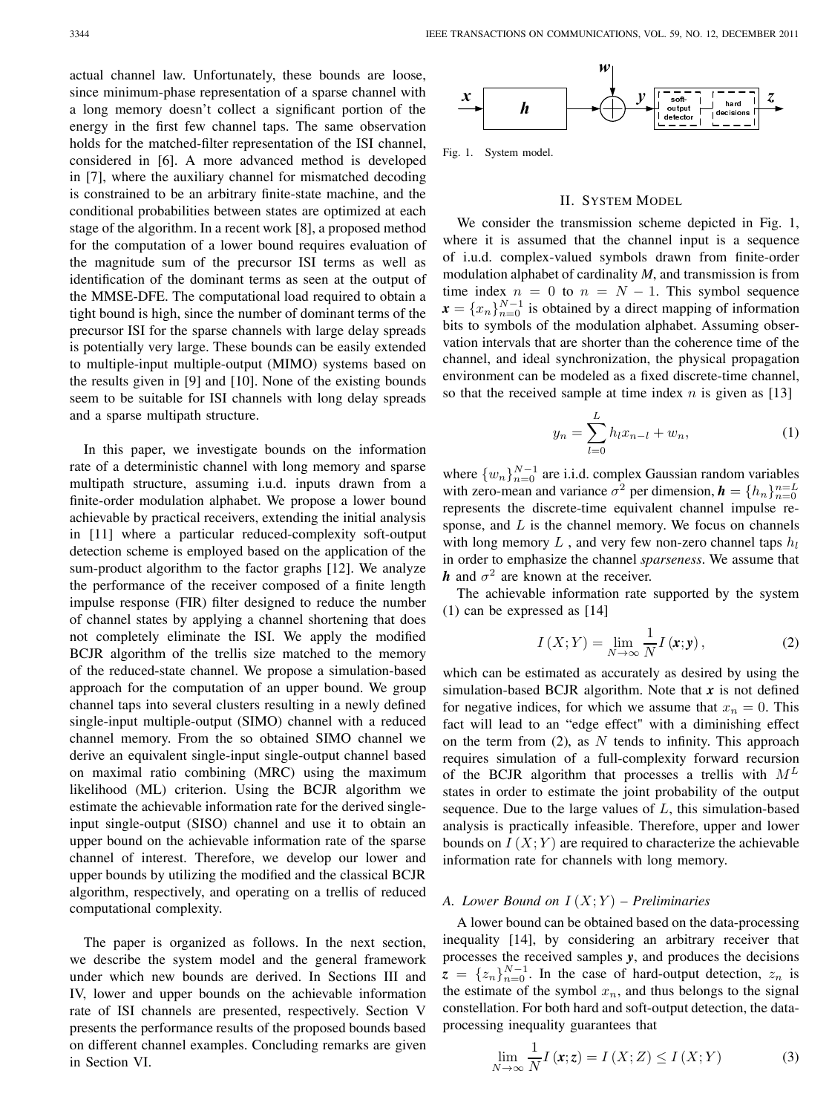actual channel law. Unfortunately, these bounds are loose, since minimum-phase representation of a sparse channel with a long memory doesn't collect a significant portion of the energy in the first few channel taps. The same observation holds for the matched-filter representation of the ISI channel, considered in [6]. A more advanced method is developed in [7], where the auxiliary channel for mismatched decoding is constrained to be an arbitrary finite-state machine, and the conditional probabilities between states are optimized at each stage of the algorithm. In a recent work [8], a proposed method for the computation of a lower bound requires evaluation of the magnitude sum of the precursor ISI terms as well as identification of the dominant terms as seen at the output of the MMSE-DFE. The computational load required to obtain a tight bound is high, since the number of dominant terms of the precursor ISI for the sparse channels with large delay spreads is potentially very large. These bounds can be easily extended to multiple-input multiple-output (MIMO) systems based on the results given in [9] and [10]. None of the existing bounds seem to be suitable for ISI channels with long delay spreads and a sparse multipath structure.

In this paper, we investigate bounds on the information rate of a deterministic channel with long memory and sparse multipath structure, assuming i.u.d. inputs drawn from a finite-order modulation alphabet. We propose a lower bound achievable by practical receivers, extending the initial analysis in [11] where a particular reduced-complexity soft-output detection scheme is employed based on the application of the sum-product algorithm to the factor graphs [12]. We analyze the performance of the receiver composed of a finite length impulse response (FIR) filter designed to reduce the number of channel states by applying a channel shortening that does not completely eliminate the ISI. We apply the modified BCJR algorithm of the trellis size matched to the memory of the reduced-state channel. We propose a simulation-based approach for the computation of an upper bound. We group channel taps into several clusters resulting in a newly defined single-input multiple-output (SIMO) channel with a reduced channel memory. From the so obtained SIMO channel we derive an equivalent single-input single-output channel based on maximal ratio combining (MRC) using the maximum likelihood (ML) criterion. Using the BCJR algorithm we estimate the achievable information rate for the derived singleinput single-output (SISO) channel and use it to obtain an upper bound on the achievable information rate of the sparse channel of interest. Therefore, we develop our lower and upper bounds by utilizing the modified and the classical BCJR algorithm, respectively, and operating on a trellis of reduced computational complexity.

The paper is organized as follows. In the next section, we describe the system model and the general framework under which new bounds are derived. In Sections III and IV, lower and upper bounds on the achievable information rate of ISI channels are presented, respectively. Section V presents the performance results of the proposed bounds based on different channel examples. Concluding remarks are given in Section VI.

Fig. 1. System model.

## II. SYSTEM MODEL

We consider the transmission scheme depicted in Fig. 1, where it is assumed that the channel input is a sequence of i.u.d. complex-valued symbols drawn from finite-order modulation alphabet of cardinality *M*, and transmission is from time index  $n = 0$  to  $n = N - 1$ . This symbol sequence  $x = \{x_n\}_{n=0}^{N-1}$  is obtained by a direct mapping of information bits to symbols of the modulation alphabet. Assuming observation intervals that are shorter than the coherence time of the channel, and ideal synchronization, the physical propagation environment can be modeled as a fixed discrete-time channel, so that the received sample at time index  $n$  is given as [13]

$$
y_n = \sum_{l=0}^{L} h_l x_{n-l} + w_n,
$$
 (1)

where  ${w_n}_{n=0}^{N-1}$  are i.i.d. complex Gaussian random variables with zero-mean and variance  $\sigma^2$  per dimension,  $\mathbf{h} = \{h_n\}_{n=0}^{n=L}$ represents the discrete-time equivalent channel impulse response, and  $L$  is the channel memory. We focus on channels with long memory  $L$ , and very few non-zero channel taps  $h_l$ in order to emphasize the channel *sparseness*. We assume that *h* and  $\sigma^2$  are known at the receiver.

The achievable information rate supported by the system (1) can be expressed as [14]

$$
I(X;Y) = \lim_{N \to \infty} \frac{1}{N} I(\mathbf{x}; \mathbf{y}), \qquad (2)
$$

which can be estimated as accurately as desired by using the simulation-based BCJR algorithm. Note that *x* is not defined for negative indices, for which we assume that  $x_n = 0$ . This fact will lead to an "edge effect" with a diminishing effect on the term from  $(2)$ , as N tends to infinity. This approach requires simulation of a full-complexity forward recursion of the BCJR algorithm that processes a trellis with  $M<sup>L</sup>$ states in order to estimate the joint probability of the output sequence. Due to the large values of  $L$ , this simulation-based analysis is practically infeasible. Therefore, upper and lower bounds on  $I(X; Y)$  are required to characterize the achievable information rate for channels with long memory.

#### *A. Lower Bound on*  $I(X; Y)$  – Preliminaries

A lower bound can be obtained based on the data-processing inequality [14], by considering an arbitrary receiver that processes the received samples *y*, and produces the decisions  $\overline{z} = \{z_n\}_{n=0}^{N-1}$ . In the case of hard-output detection,  $z_n$  is the estimate of the symbol  $x_n$ , and thus belongs to the signal constellation. For both hard and soft-output detection, the dataprocessing inequality guarantees that

$$
\lim_{N \to \infty} \frac{1}{N} I(\mathbf{x}; \mathbf{z}) = I(X; Z) \le I(X; Y)
$$
\n(3)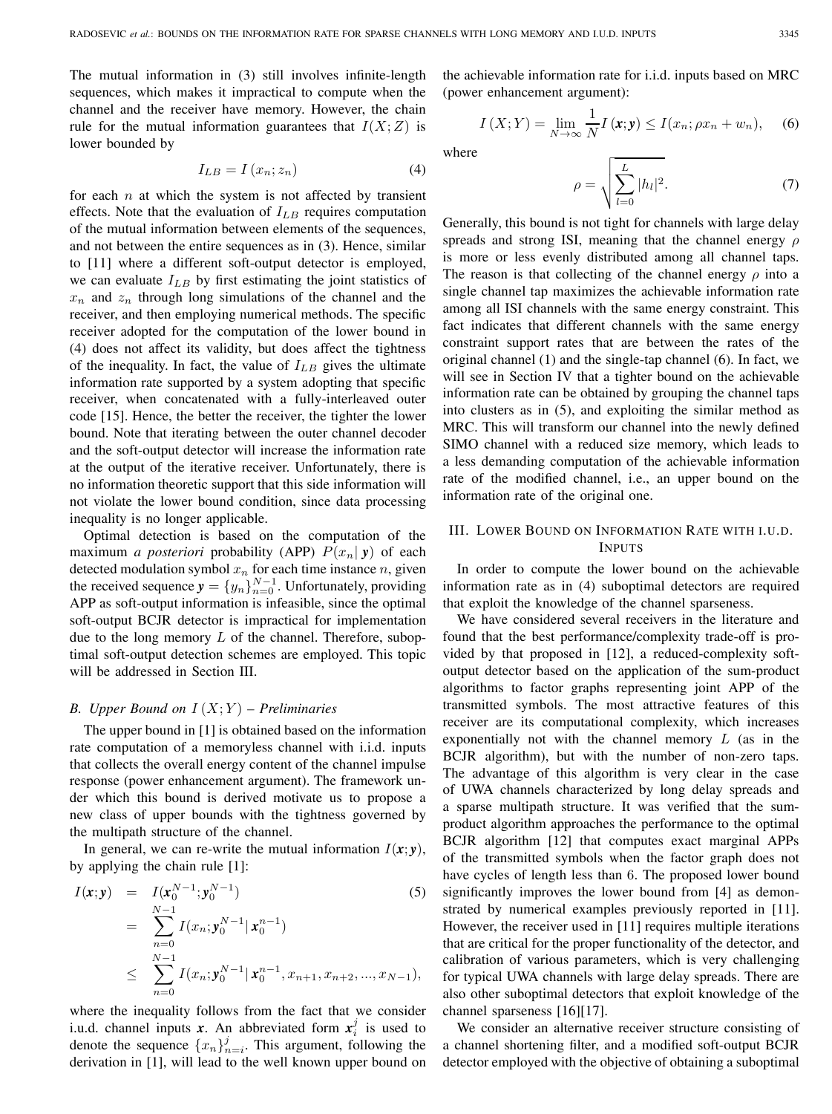The mutual information in (3) still involves infinite-length sequences, which makes it impractical to compute when the channel and the receiver have memory. However, the chain rule for the mutual information guarantees that  $I(X;Z)$  is lower bounded by

$$
I_{LB} = I\left(x_n; z_n\right) \tag{4}
$$

for each  $n$  at which the system is not affected by transient effects. Note that the evaluation of  $I_{LB}$  requires computation of the mutual information between elements of the sequences, and not between the entire sequences as in (3). Hence, similar to [11] where a different soft-output detector is employed, we can evaluate  $I_{LB}$  by first estimating the joint statistics of  $x_n$  and  $z_n$  through long simulations of the channel and the receiver, and then employing numerical methods. The specific receiver adopted for the computation of the lower bound in (4) does not affect its validity, but does affect the tightness of the inequality. In fact, the value of  $I_{LB}$  gives the ultimate information rate supported by a system adopting that specific receiver, when concatenated with a fully-interleaved outer code [15]. Hence, the better the receiver, the tighter the lower bound. Note that iterating between the outer channel decoder and the soft-output detector will increase the information rate at the output of the iterative receiver. Unfortunately, there is no information theoretic support that this side information will not violate the lower bound condition, since data processing inequality is no longer applicable.

Optimal detection is based on the computation of the maximum *a posteriori* probability (APP)  $P(x_n | y)$  of each detected modulation symbol  $x_n$  for each time instance  $n$ , given the received sequence  $y = \{y_n\}_{n=0}^{N-1}$ . Unfortunately, providing APP as soft-output information is infeasible, since the optimal soft-output BCJR detector is impractical for implementation due to the long memory  $L$  of the channel. Therefore, suboptimal soft-output detection schemes are employed. This topic will be addressed in Section III.

## *B. Upper Bound on*  $I(X; Y)$  – Preliminaries

The upper bound in [1] is obtained based on the information rate computation of a memoryless channel with i.i.d. inputs that collects the overall energy content of the channel impulse response (power enhancement argument). The framework under which this bound is derived motivate us to propose a new class of upper bounds with the tightness governed by the multipath structure of the channel.

In general, we can re-write the mutual information  $I(x; y)$ , by applying the chain rule [1]:

$$
I(\mathbf{x}; \mathbf{y}) = I(\mathbf{x}_0^{N-1}; \mathbf{y}_0^{N-1})
$$
(5)  
= 
$$
\sum_{n=0}^{N-1} I(x_n; \mathbf{y}_0^{N-1} | \mathbf{x}_0^{n-1})
$$
  

$$
\leq \sum_{n=0}^{N-1} I(x_n; \mathbf{y}_0^{N-1} | \mathbf{x}_0^{n-1}, x_{n+1}, x_{n+2}, ..., x_{N-1}),
$$

where the inequality follows from the fact that we consider i.u.d. channel inputs *x*. An abbreviated form  $x_i^j$  is used to denote the sequence  ${x_n}_{n=i}^j$ . This argument, following the derivation in [1], will lead to the well known upper bound on the achievable information rate for i.i.d. inputs based on MRC (power enhancement argument):

$$
I(X;Y) = \lim_{N \to \infty} \frac{1}{N} I(\mathbf{x}; \mathbf{y}) \le I(x_n; \rho x_n + w_n), \quad (6)
$$

where

$$
\rho = \sqrt{\sum_{l=0}^{L} |h_l|^2}.
$$
 (7)

Generally, this bound is not tight for channels with large delay spreads and strong ISI, meaning that the channel energy  $\rho$ is more or less evenly distributed among all channel taps. The reason is that collecting of the channel energy  $\rho$  into a single channel tap maximizes the achievable information rate among all ISI channels with the same energy constraint. This fact indicates that different channels with the same energy constraint support rates that are between the rates of the original channel (1) and the single-tap channel (6). In fact, we will see in Section IV that a tighter bound on the achievable information rate can be obtained by grouping the channel taps into clusters as in (5), and exploiting the similar method as MRC. This will transform our channel into the newly defined SIMO channel with a reduced size memory, which leads to a less demanding computation of the achievable information rate of the modified channel, i.e., an upper bound on the information rate of the original one.

# III. LOWER BOUND ON INFORMATION RATE WITH I.U.D. INPUTS

In order to compute the lower bound on the achievable information rate as in (4) suboptimal detectors are required that exploit the knowledge of the channel sparseness.

We have considered several receivers in the literature and found that the best performance/complexity trade-off is provided by that proposed in [12], a reduced-complexity softoutput detector based on the application of the sum-product algorithms to factor graphs representing joint APP of the transmitted symbols. The most attractive features of this receiver are its computational complexity, which increases exponentially not with the channel memory  $L$  (as in the BCJR algorithm), but with the number of non-zero taps. The advantage of this algorithm is very clear in the case of UWA channels characterized by long delay spreads and a sparse multipath structure. It was verified that the sumproduct algorithm approaches the performance to the optimal BCJR algorithm [12] that computes exact marginal APPs of the transmitted symbols when the factor graph does not have cycles of length less than 6. The proposed lower bound significantly improves the lower bound from [4] as demonstrated by numerical examples previously reported in [11]. However, the receiver used in [11] requires multiple iterations that are critical for the proper functionality of the detector, and calibration of various parameters, which is very challenging for typical UWA channels with large delay spreads. There are also other suboptimal detectors that exploit knowledge of the channel sparseness [16][17].

We consider an alternative receiver structure consisting of a channel shortening filter, and a modified soft-output BCJR detector employed with the objective of obtaining a suboptimal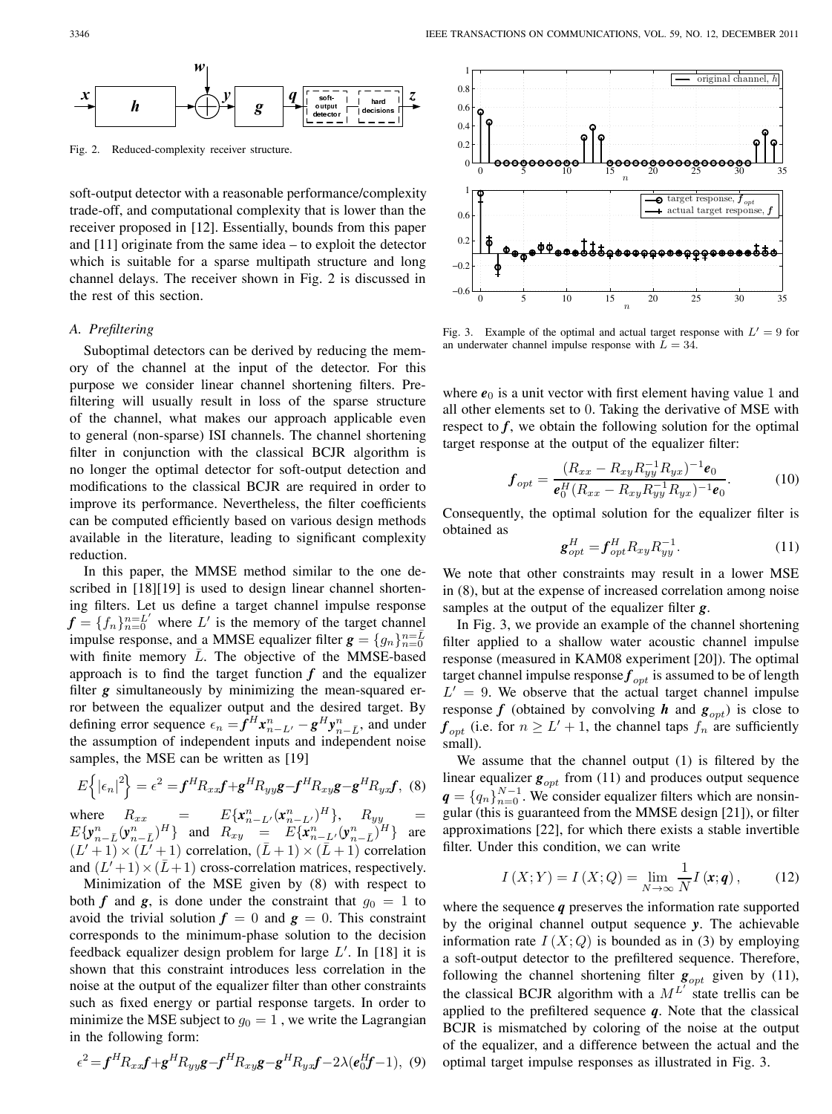

Fig. 2. Reduced-complexity receiver structure.

soft-output detector with a reasonable performance/complexity trade-off, and computational complexity that is lower than the receiver proposed in [12]. Essentially, bounds from this paper and [11] originate from the same idea – to exploit the detector which is suitable for a sparse multipath structure and long channel delays. The receiver shown in Fig. 2 is discussed in the rest of this section.

#### *A. Prefiltering*

Suboptimal detectors can be derived by reducing the memory of the channel at the input of the detector. For this purpose we consider linear channel shortening filters. Prefiltering will usually result in loss of the sparse structure of the channel, what makes our approach applicable even to general (non-sparse) ISI channels. The channel shortening filter in conjunction with the classical BCJR algorithm is no longer the optimal detector for soft-output detection and modifications to the classical BCJR are required in order to improve its performance. Nevertheless, the filter coefficients can be computed efficiently based on various design methods available in the literature, leading to significant complexity reduction.

In this paper, the MMSE method similar to the one described in [18][19] is used to design linear channel shortening filters. Let us define a target channel impulse response  $f = \{f_n\}_{n=0}^{n=L'}$  where L' is the memory of the target channel impulse response, and a MMSE equalizer filter  $g = \{g_n\}_{n=0}^{n=L}$ with finite memory  $L$ . The objective of the MMSE-based approach is to find the target function  $f$  and the equalizer filter *g* simultaneously by minimizing the mean-squared error between the equalizer output and the desired target. By defining error sequence  $\epsilon_n = \vec{f}^H \vec{x}_{n-L}^n - \vec{g}^H \vec{y}_{n-\bar{L}}^n$ , and under the assumption of independent inputs and independent noise samples, the MSE can be written as [19]

$$
E\left\{\left|\epsilon_{n}\right|^{2}\right\}=\epsilon^{2}=\mathbf{f}^{H}R_{xx}\mathbf{f}+\mathbf{g}^{H}R_{yy}\mathbf{g}-\mathbf{f}^{H}R_{xy}\mathbf{g}-\mathbf{g}^{H}R_{yx}\mathbf{f},\,\,(8)
$$

where  $R_{xx} = E\{x_{n-L}^n, (x_{n-L}^n)^H\}$ ,  $R_{yy} = E\{y_{n-L}^n, (y_{n-L}^n)^H\}$  and  $R_{xy} = E\{x_{n-L}^n, (y_{n-L}^n)^H\}$  are  $(L'+1) \times (L'+1)$  correlation,  $(\bar{L}+1) \times (\bar{L}+1)$  correlation and  $(L'+1) \times (\bar{L}+1)$  cross-correlation matrices, respectively.

Minimization of the MSE given by (8) with respect to both *f* and *g*, is done under the constraint that  $q_0 = 1$  to avoid the trivial solution  $f = 0$  and  $g = 0$ . This constraint corresponds to the minimum-phase solution to the decision feedback equalizer design problem for large  $L'$ . In [18] it is shown that this constraint introduces less correlation in the noise at the output of the equalizer filter than other constraints such as fixed energy or partial response targets. In order to minimize the MSE subject to  $g_0 = 1$ , we write the Lagrangian in the following form:

$$
\epsilon^2 = f^H R_{xx} f + g^H R_{yy} g - f^H R_{xy} g - g^H R_{yx} f - 2\lambda (e_0^H f - 1), \tag{9}
$$



Fig. 3. Example of the optimal and actual target response with  $L' = 9$  for an underwater channel impulse response with  $L = 34$ .

where  $e_0$  is a unit vector with first element having value 1 and all other elements set to 0. Taking the derivative of MSE with respect to *f*, we obtain the following solution for the optimal target response at the output of the equalizer filter:

$$
f_{opt} = \frac{(R_{xx} - R_{xy}R_{yy}^{-1}R_{yx})^{-1}\mathbf{e}_0}{\mathbf{e}_0^H (R_{xx} - R_{xy}R_{yy}^{-1}R_{yx})^{-1}\mathbf{e}_0}.
$$
 (10)

Consequently, the optimal solution for the equalizer filter is obtained as

$$
\boldsymbol{g}_{opt}^H = \boldsymbol{f}_{opt}^H R_{xy} R_{yy}^{-1}.\tag{11}
$$

We note that other constraints may result in a lower MSE in (8), but at the expense of increased correlation among noise samples at the output of the equalizer filter *g*.

In Fig. 3, we provide an example of the channel shortening filter applied to a shallow water acoustic channel impulse response (measured in KAM08 experiment [20]). The optimal target channel impulse response $f_{opt}$  is assumed to be of length  $L' = 9$ . We observe that the actual target channel impulse response  $f$  (obtained by convolving  $h$  and  $g_{\text{out}}$ ) is close to  $f_{opt}$  (i.e. for  $n \ge L' + 1$ , the channel taps  $f_n$  are sufficiently small).

We assume that the channel output (1) is filtered by the linear equalizer  $g_{\text{opt}}$  from (11) and produces output sequence  $q = \{q_n\}_{n=0}^{N-1}$ . We consider equalizer filters which are nonsingular (this is guaranteed from the MMSE design [21]), or filter approximations [22], for which there exists a stable invertible filter. Under this condition, we can write

$$
I(X;Y) = I(X;Q) = \lim_{N \to \infty} \frac{1}{N} I(\mathbf{x}; \mathbf{q}), \quad (12)
$$

where the sequence *q* preserves the information rate supported by the original channel output sequence *y*. The achievable information rate  $I(X; Q)$  is bounded as in (3) by employing a soft-output detector to the prefiltered sequence. Therefore, following the channel shortening filter  $g_{opt}$  given by (11), the classical BCJR algorithm with a  $M^{L'}$  state trellis can be applied to the prefiltered sequence *q*. Note that the classical BCJR is mismatched by coloring of the noise at the output of the equalizer, and a difference between the actual and the optimal target impulse responses as illustrated in Fig. 3.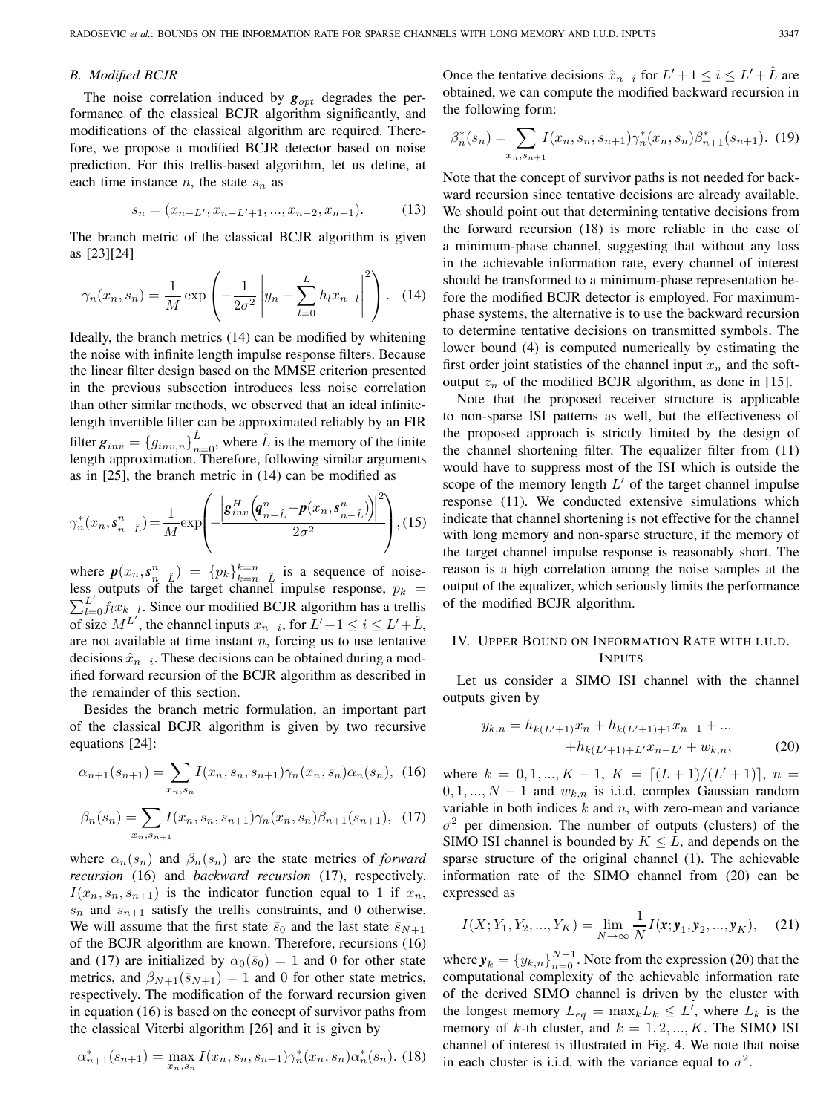#### *B. Modified BCJR*

The noise correlation induced by  $g_{opt}$  degrades the performance of the classical BCJR algorithm significantly, and modifications of the classical algorithm are required. Therefore, we propose a modified BCJR detector based on noise prediction. For this trellis-based algorithm, let us define, at each time instance  $n$ , the state  $s_n$  as

$$
s_n = (x_{n-L'}, x_{n-L'+1}, \dots, x_{n-2}, x_{n-1}). \tag{13}
$$

The branch metric of the classical BCJR algorithm is given as [23][24]

$$
\gamma_n(x_n, s_n) = \frac{1}{M} \exp \left( -\frac{1}{2\sigma^2} \left| y_n - \sum_{l=0}^L h_l x_{n-l} \right|^2 \right).
$$
 (14)

Ideally, the branch metrics (14) can be modified by whitening the noise with infinite length impulse response filters. Because the linear filter design based on the MMSE criterion presented in the previous subsection introduces less noise correlation than other similar methods, we observed that an ideal infinitelength invertible filter can be approximated reliably by an FIR filter  $g_{inv} = \{g_{inv,n}\}_{n=0}^{\hat{L}}$ , where  $\hat{L}$  is the memory of the finite length approximation. Therefore, following similar arguments as in [25], the branch metric in (14) can be modified as

$$
\gamma_n^*(x_n, s_{n-\hat{L}}^n) = \frac{1}{M} \exp\left(-\frac{\left|g_{inv}^H \left(q_{n-\hat{L}}^n - p(x_n, s_{n-\hat{L}}^n)\right)\right|^2}{2\sigma^2}\right), (15)
$$

where  $p(x_n, s_{n-\hat{L}}^n) = {p_k}_{k=n-\hat{L}}^{k=n}$  is a sequence of noise-<br>less outputs of the target channel impulse response,  $p_k =$  $\sum_{l=0}^{L'} f_l x_{k-l}$ . Since our modified BCJR algorithm has a trellis of size  $M^{L'}$ , the channel inputs  $x_{n-i}$ , for  $L'+1 \le i \le L'+\hat{L}$ , are not available at time instant  $n$ , forcing us to use tentative decisions  $\hat{x}_{n-i}$ . These decisions can be obtained during a modified forward recursion of the BCJR algorithm as described in the remainder of this section.

Besides the branch metric formulation, an important part of the classical BCJR algorithm is given by two recursive equations [24]:

$$
\alpha_{n+1}(s_{n+1}) = \sum_{x_n, s_n} I(x_n, s_n, s_{n+1}) \gamma_n(x_n, s_n) \alpha_n(s_n), \tag{16}
$$

$$
\beta_n(s_n) = \sum_{x_n, s_{n+1}} I(x_n, s_n, s_{n+1}) \gamma_n(x_n, s_n) \beta_{n+1}(s_{n+1}), \tag{17}
$$

where  $\alpha_n(s_n)$  and  $\beta_n(s_n)$  are the state metrics of *forward recursion* (16) and *backward recursion* (17), respectively.  $I(x_n, s_n, s_{n+1})$  is the indicator function equal to 1 if  $x_n$ ,  $s_n$  and  $s_{n+1}$  satisfy the trellis constraints, and 0 otherwise. We will assume that the first state  $\bar{s}_0$  and the last state  $\bar{s}_{N+1}$ of the BCJR algorithm are known. Therefore, recursions (16) and (17) are initialized by  $\alpha_0(\bar{s}_0)=1$  and 0 for other state metrics, and  $\beta_{N+1}(\bar{s}_{N+1})=1$  and 0 for other state metrics, respectively. The modification of the forward recursion given in equation (16) is based on the concept of survivor paths from the classical Viterbi algorithm [26] and it is given by

$$
\alpha_{n+1}^*(s_{n+1}) = \max_{x_n, s_n} I(x_n, s_n, s_{n+1}) \gamma_n^*(x_n, s_n) \alpha_n^*(s_n).
$$
 (18)

Once the tentative decisions  $\hat{x}_{n-i}$  for  $L' + 1 \le i \le L' + L$  are obtained, we can compute the modified backward recursion in the following form:

$$
\beta_n^*(s_n) = \sum_{x_n, s_{n+1}} I(x_n, s_n, s_{n+1}) \gamma_n^*(x_n, s_n) \beta_{n+1}^*(s_{n+1}). \tag{19}
$$

Note that the concept of survivor paths is not needed for backward recursion since tentative decisions are already available. We should point out that determining tentative decisions from the forward recursion (18) is more reliable in the case of a minimum-phase channel, suggesting that without any loss in the achievable information rate, every channel of interest should be transformed to a minimum-phase representation before the modified BCJR detector is employed. For maximumphase systems, the alternative is to use the backward recursion to determine tentative decisions on transmitted symbols. The lower bound (4) is computed numerically by estimating the first order joint statistics of the channel input  $x_n$  and the softoutput  $z_n$  of the modified BCJR algorithm, as done in [15].

Note that the proposed receiver structure is applicable to non-sparse ISI patterns as well, but the effectiveness of the proposed approach is strictly limited by the design of the channel shortening filter. The equalizer filter from (11) would have to suppress most of the ISI which is outside the scope of the memory length  $L'$  of the target channel impulse response (11). We conducted extensive simulations which indicate that channel shortening is not effective for the channel with long memory and non-sparse structure, if the memory of the target channel impulse response is reasonably short. The reason is a high correlation among the noise samples at the output of the equalizer, which seriously limits the performance of the modified BCJR algorithm.

# IV. UPPER BOUND ON INFORMATION RATE WITH I.U.D. INPUTS

Let us consider a SIMO ISI channel with the channel outputs given by

$$
y_{k,n} = h_{k(L'+1)}x_n + h_{k(L'+1)+1}x_{n-1} + \dots
$$

$$
+ h_{k(L'+1)+L'}x_{n-L'} + w_{k,n}, \qquad (20)
$$

where  $k = 0, 1, ..., K - 1, K = [(L + 1)/(L' + 1)], n =$  $0, 1, ..., N - 1$  and  $w_{k,n}$  is i.i.d. complex Gaussian random variable in both indices  $k$  and  $n$ , with zero-mean and variance  $\sigma^2$  per dimension. The number of outputs (clusters) of the SIMO ISI channel is bounded by  $K \leq L$ , and depends on the sparse structure of the original channel (1). The achievable information rate of the SIMO channel from (20) can be expressed as

$$
I(X; Y_1, Y_2, ..., Y_K) = \lim_{N \to \infty} \frac{1}{N} I(\mathbf{x}; \mathbf{y}_1, \mathbf{y}_2, ..., \mathbf{y}_K), \quad (21)
$$

where  $\mathbf{y}_k = \{y_{k,n}\}_{n=0}^{N-1}$ . Note from the expression (20) that the computational complexity of the achievable information rate of the derived SIMO channel is driven by the cluster with the longest memory  $L_{eq} = \max_k L_k \leq L'$ , where  $L_k$  is the memory of k-th cluster, and  $k = 1, 2, ..., K$ . The SIMO ISI channel of interest is illustrated in Fig. 4. We note that noise in each cluster is i.i.d. with the variance equal to  $\sigma^2$ .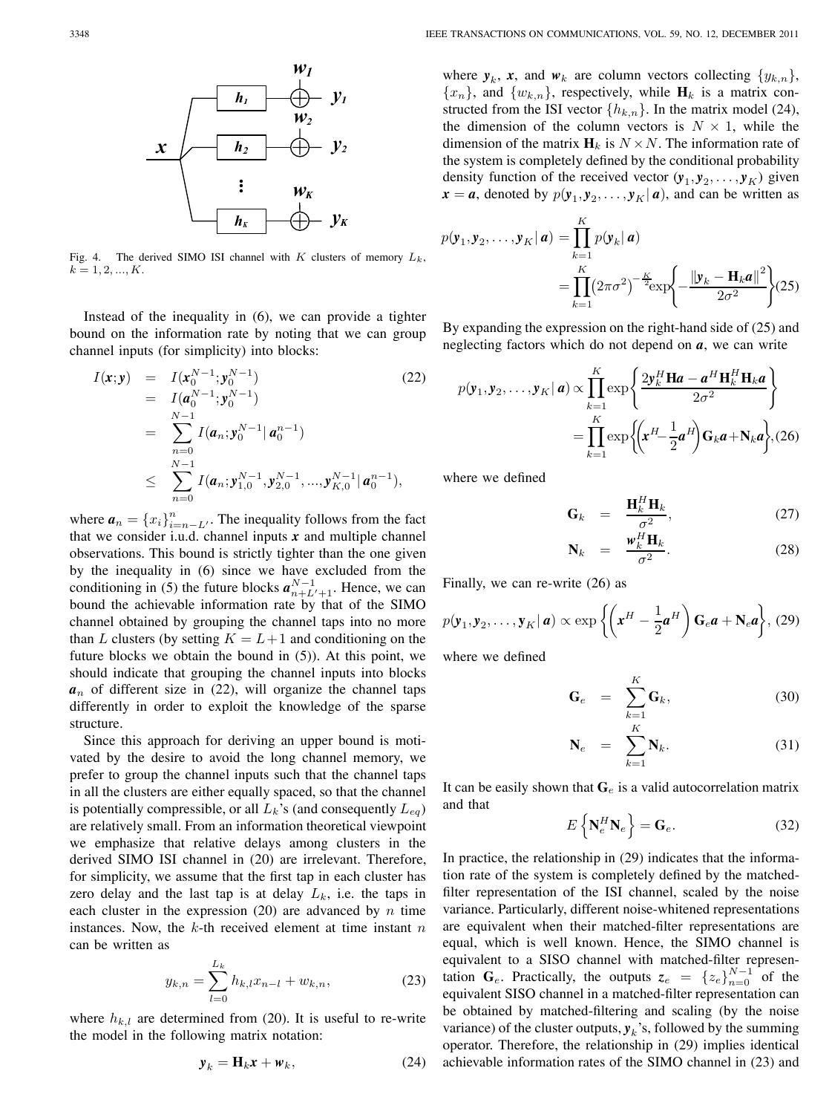

Fig. 4. The derived SIMO ISI channel with  $K$  clusters of memory  $L_k$ ,  $k = 1, 2, ..., K$ .

Instead of the inequality in (6), we can provide a tighter bound on the information rate by noting that we can group channel inputs (for simplicity) into blocks:

$$
I(\mathbf{x}; \mathbf{y}) = I(\mathbf{x}_0^{N-1}; \mathbf{y}_0^{N-1})
$$
\n
$$
= I(\mathbf{a}_0^{N-1}; \mathbf{y}_0^{N-1})
$$
\n
$$
= \sum_{n=0}^{N-1} I(\mathbf{a}_n; \mathbf{y}_0^{N-1} | \mathbf{a}_0^{n-1})
$$
\n
$$
\leq \sum_{n=0}^{N-1} I(\mathbf{a}_n; \mathbf{y}_{1,0}^{N-1}, \mathbf{y}_{2,0}^{N-1}, ..., \mathbf{y}_{K,0}^{N-1} | \mathbf{a}_0^{n-1}),
$$
\n(22)

where  $\boldsymbol{a}_n = \{x_i\}_{i=n-L'}^n$ . The inequality follows from the fact that we consider i.u.d. channel inputs  $x$  and multiple channel observations. This bound is strictly tighter than the one given by the inequality in (6) since we have excluded from the conditioning in (5) the future blocks  $a_{n+L'+1}^{N-1}$ . Hence, we can bound the achievable information rate by that of the SIMO channel obtained by grouping the channel taps into no more than L clusters (by setting  $K = L + 1$  and conditioning on the future blocks we obtain the bound in (5)). At this point, we should indicate that grouping the channel inputs into blocks  $a_n$  of different size in (22), will organize the channel taps differently in order to exploit the knowledge of the sparse structure.

Since this approach for deriving an upper bound is motivated by the desire to avoid the long channel memory, we prefer to group the channel inputs such that the channel taps in all the clusters are either equally spaced, so that the channel is potentially compressible, or all  $L_k$ 's (and consequently  $L_{eq}$ ) are relatively small. From an information theoretical viewpoint we emphasize that relative delays among clusters in the derived SIMO ISI channel in (20) are irrelevant. Therefore, for simplicity, we assume that the first tap in each cluster has zero delay and the last tap is at delay  $L_k$ , i.e. the taps in each cluster in the expression (20) are advanced by  $n$  time instances. Now, the  $k$ -th received element at time instant  $n$ can be written as

$$
y_{k,n} = \sum_{l=0}^{L_k} h_{k,l} x_{n-l} + w_{k,n},
$$
 (23)

where  $h_{k,l}$  are determined from (20). It is useful to re-write the model in the following matrix notation:

$$
\mathbf{y}_k = \mathbf{H}_k \mathbf{x} + \mathbf{w}_k, \tag{24}
$$

where  $y_k$ ,  $x$ , and  $w_k$  are column vectors collecting  $\{y_{k,n}\},$  ${x_n}$ , and  ${w_{k,n}}$ , respectively, while  $\mathbf{H}_k$  is a matrix constructed from the ISI vector  $\{h_{k,n}\}\$ . In the matrix model (24), the dimension of the column vectors is  $N \times 1$ , while the dimension of the matrix  $\mathbf{H}_k$  is  $N \times N$ . The information rate of the system is completely defined by the conditional probability density function of the received vector  $(\mathbf{y}_1, \mathbf{y}_2, \dots, \mathbf{y}_K)$  given *x* = *a*, denoted by  $p(y_1, y_2, \ldots, y_K | a)$ , and can be written as

$$
p(\mathbf{y}_1, \mathbf{y}_2, \dots, \mathbf{y}_K | \mathbf{a}) = \prod_{k=1}^K p(\mathbf{y}_k | \mathbf{a})
$$
  
= 
$$
\prod_{k=1}^K (2\pi\sigma^2)^{-\frac{K}{2}} \exp\left\{-\frac{\|\mathbf{y}_k - \mathbf{H}_k \mathbf{a}\|^2}{2\sigma^2}\right\} (25)
$$

By expanding the expression on the right-hand side of (25) and neglecting factors which do not depend on *a*, we can write

$$
p(\mathbf{y}_1, \mathbf{y}_2, \dots, \mathbf{y}_K | \mathbf{a}) \propto \prod_{k=1}^K \exp\left\{ \frac{2\mathbf{y}_k^H \mathbf{H} \mathbf{a} - \mathbf{a}^H \mathbf{H}_k^H \mathbf{H}_k \mathbf{a}}{2\sigma^2} \right\}
$$
  
= 
$$
\prod_{k=1}^K \exp\left\{ \left( \mathbf{x}^H - \frac{1}{2} \mathbf{a}^H \right) \mathbf{G}_k \mathbf{a} + \mathbf{N}_k \mathbf{a} \right\}, (26)
$$

where we defined

$$
\mathbf{G}_k = \frac{\mathbf{H}_k^H \mathbf{H}_k}{\sigma^2}, \qquad (27)
$$

$$
\mathbf{N}_k = \frac{\boldsymbol{w}_k^H \mathbf{H}_k}{\sigma^2}.
$$
 (28)

Finally, we can re-write (26) as

$$
p(\mathbf{y}_1, \mathbf{y}_2, \dots, \mathbf{y}_K | \mathbf{a}) \propto \exp\left\{ \left( \mathbf{x}^H - \frac{1}{2} \mathbf{a}^H \right) \mathbf{G}_e \mathbf{a} + \mathbf{N}_e \mathbf{a} \right\}, (29)
$$

where we defined

$$
\mathbf{G}_e = \sum_{k=1}^K \mathbf{G}_k, \tag{30}
$$

$$
\mathbf{N}_e = \sum_{k=1}^K \mathbf{N}_k. \tag{31}
$$

It can be easily shown that  $\mathbf{G}_e$  is a valid autocorrelation matrix and that

$$
E\left\{ \mathbf{N}_{e}^{H}\mathbf{N}_{e}\right\} =\mathbf{G}_{e}.
$$
 (32)

In practice, the relationship in (29) indicates that the information rate of the system is completely defined by the matchedfilter representation of the ISI channel, scaled by the noise variance. Particularly, different noise-whitened representations are equivalent when their matched-filter representations are equal, which is well known. Hence, the SIMO channel is equivalent to a SISO channel with matched-filter representation **G**<sub>e</sub>. Practically, the outputs  $z_e = \{z_e\}_{n=0}^{N-1}$  of the equivalent SISO channel in a matched-filter representation can be obtained by matched-filtering and scaling (by the noise variance) of the cluster outputs,  $y_k$ 's, followed by the summing operator. Therefore, the relationship in (29) implies identical achievable information rates of the SIMO channel in (23) and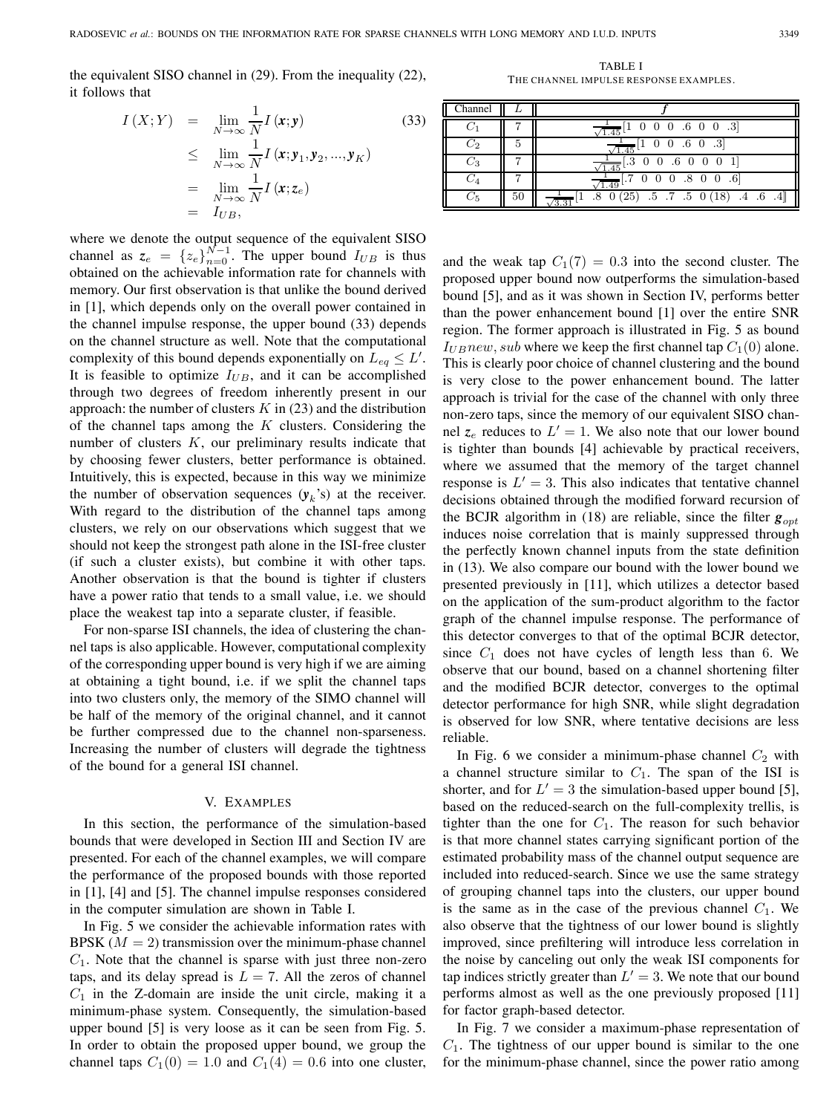the equivalent SISO channel in (29). From the inequality (22), it follows that

$$
I(X;Y) = \lim_{N \to \infty} \frac{1}{N} I(\mathbf{x}; \mathbf{y})
$$
(33)  

$$
\leq \lim_{N \to \infty} \frac{1}{N} I(\mathbf{x}; \mathbf{y}_1, \mathbf{y}_2, ..., \mathbf{y}_K)
$$
  

$$
= \lim_{N \to \infty} \frac{1}{N} I(\mathbf{x}; \mathbf{z}_e)
$$
  

$$
= I_{UB},
$$

where we denote the output sequence of the equivalent SISO channel as  $z_e = \{z_e\}_{n=0}^{N-1}$ . The upper bound  $I_{UB}$  is thus obtained on the achievable information rate for channels with memory. Our first observation is that unlike the bound derived in [1], which depends only on the overall power contained in the channel impulse response, the upper bound (33) depends on the channel structure as well. Note that the computational complexity of this bound depends exponentially on  $L_{eq} \leq L'$ . It is feasible to optimize  $I_{UB}$ , and it can be accomplished through two degrees of freedom inherently present in our approach: the number of clusters  $K$  in (23) and the distribution of the channel taps among the  $K$  clusters. Considering the number of clusters  $K$ , our preliminary results indicate that by choosing fewer clusters, better performance is obtained. Intuitively, this is expected, because in this way we minimize the number of observation sequences  $(y_k)$  is at the receiver. With regard to the distribution of the channel taps among clusters, we rely on our observations which suggest that we should not keep the strongest path alone in the ISI-free cluster (if such a cluster exists), but combine it with other taps. Another observation is that the bound is tighter if clusters have a power ratio that tends to a small value, i.e. we should place the weakest tap into a separate cluster, if feasible.

For non-sparse ISI channels, the idea of clustering the channel taps is also applicable. However, computational complexity of the corresponding upper bound is very high if we are aiming at obtaining a tight bound, i.e. if we split the channel taps into two clusters only, the memory of the SIMO channel will be half of the memory of the original channel, and it cannot be further compressed due to the channel non-sparseness. Increasing the number of clusters will degrade the tightness of the bound for a general ISI channel.

#### V. EXAMPLES

In this section, the performance of the simulation-based bounds that were developed in Section III and Section IV are presented. For each of the channel examples, we will compare the performance of the proposed bounds with those reported in [1], [4] and [5]. The channel impulse responses considered in the computer simulation are shown in Table I.

In Fig. 5 we consider the achievable information rates with BPSK  $(M = 2)$  transmission over the minimum-phase channel  $C_1$ . Note that the channel is sparse with just three non-zero taps, and its delay spread is  $L = 7$ . All the zeros of channel  $C_1$  in the Z-domain are inside the unit circle, making it a minimum-phase system. Consequently, the simulation-based upper bound [5] is very loose as it can be seen from Fig. 5. In order to obtain the proposed upper bound, we group the channel taps  $C_1(0) = 1.0$  and  $C_1(4) = 0.6$  into one cluster,

TABLE I THE CHANNEL IMPULSE RESPONSE EXAMPLES.

| Channel     |    |                                                                                         |
|-------------|----|-----------------------------------------------------------------------------------------|
|             |    | $\frac{1}{\sqrt{1.45}}$ [1 0 0 0 0 6 0 0 0 3]                                           |
| $C_2$       | 5  | $\frac{1}{\sqrt{1.45}}$ [1 0 0 .6 0 .3]                                                 |
| $C_3$       |    | $\frac{1}{\sqrt{1.45}}$ [.3 0 0 .6 0 0 0 1]                                             |
| $C_4$       |    | $\frac{1}{\sqrt{1.49}}$ [.7 0 0 0 .8 0 0 .6]                                            |
| $C_{\rm 5}$ | 50 | $[1 \t8 \t0 \t(25) \t.5 \t.7 \t.5 \t0 \t(18) \t.4 \t.6 \t.4]$<br>$\sqrt{3}$ $\sqrt{31}$ |

and the weak tap  $C_1(7) = 0.3$  into the second cluster. The proposed upper bound now outperforms the simulation-based bound [5], and as it was shown in Section IV, performs better than the power enhancement bound [1] over the entire SNR region. The former approach is illustrated in Fig. 5 as bound  $I_{UB}new$ , sub where we keep the first channel tap  $C_1(0)$  alone. This is clearly poor choice of channel clustering and the bound is very close to the power enhancement bound. The latter approach is trivial for the case of the channel with only three non-zero taps, since the memory of our equivalent SISO channel  $z_e$  reduces to  $L' = 1$ . We also note that our lower bound is tighter than bounds [4] achievable by practical receivers, where we assumed that the memory of the target channel response is  $L' = 3$ . This also indicates that tentative channel decisions obtained through the modified forward recursion of the BCJR algorithm in (18) are reliable, since the filter  $g_{\text{out}}$ induces noise correlation that is mainly suppressed through the perfectly known channel inputs from the state definition in (13). We also compare our bound with the lower bound we presented previously in [11], which utilizes a detector based on the application of the sum-product algorithm to the factor graph of the channel impulse response. The performance of this detector converges to that of the optimal BCJR detector, since  $C_1$  does not have cycles of length less than 6. We observe that our bound, based on a channel shortening filter and the modified BCJR detector, converges to the optimal detector performance for high SNR, while slight degradation is observed for low SNR, where tentative decisions are less reliable.

In Fig. 6 we consider a minimum-phase channel  $C_2$  with a channel structure similar to  $C_1$ . The span of the ISI is shorter, and for  $L' = 3$  the simulation-based upper bound [5], based on the reduced-search on the full-complexity trellis, is tighter than the one for  $C_1$ . The reason for such behavior is that more channel states carrying significant portion of the estimated probability mass of the channel output sequence are included into reduced-search. Since we use the same strategy of grouping channel taps into the clusters, our upper bound is the same as in the case of the previous channel  $C_1$ . We also observe that the tightness of our lower bound is slightly improved, since prefiltering will introduce less correlation in the noise by canceling out only the weak ISI components for tap indices strictly greater than  $L' = 3$ . We note that our bound performs almost as well as the one previously proposed [11] for factor graph-based detector.

In Fig. 7 we consider a maximum-phase representation of  $C_1$ . The tightness of our upper bound is similar to the one for the minimum-phase channel, since the power ratio among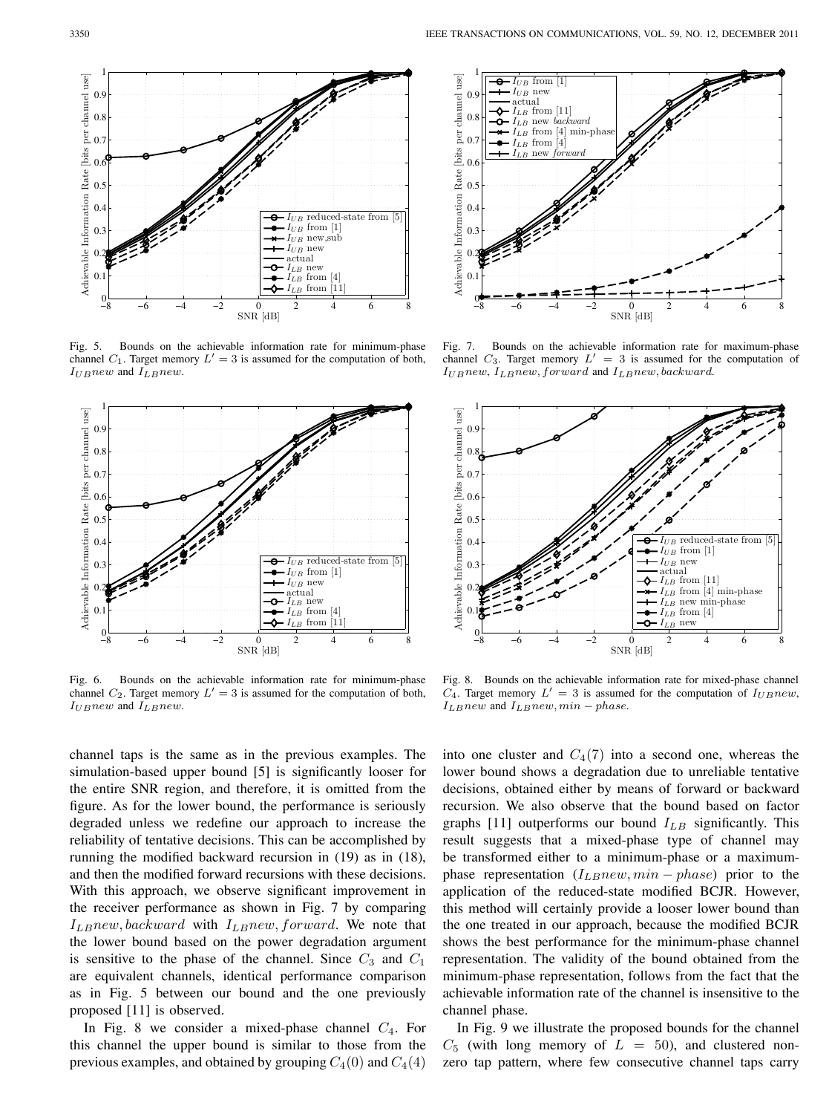

Fig. 5. Bounds on the achievable information rate for minimum-phase channel  $C_1$ . Target memory  $L' = 3$  is assumed for the computation of both,  $I_{UB}$  and  $I_{LB}$  new.



Fig. 6. Bounds on the achievable information rate for minimum-phase channel  $C_2$ . Target memory  $L' = 3$  is assumed for the computation of both,  $I_{UB}new$  and  $I_{LB}new$ .

channel taps is the same as in the previous examples. The simulation-based upper bound [5] is significantly looser for the entire SNR region, and therefore, it is omitted from the figure. As for the lower bound, the performance is seriously degraded unless we redefine our approach to increase the reliability of tentative decisions. This can be accomplished by running the modified backward recursion in (19) as in (18), and then the modified forward recursions with these decisions. With this approach, we observe significant improvement in the receiver performance as shown in Fig. 7 by comparing  $I_{LB}new, backward$  with  $I_{LB}new, forward$ . We note that the lower bound based on the power degradation argument is sensitive to the phase of the channel. Since  $C_3$  and  $C_1$ are equivalent channels, identical performance comparison as in Fig. 5 between our bound and the one previously proposed [11] is observed.

In Fig. 8 we consider a mixed-phase channel  $C_4$ . For this channel the upper bound is similar to those from the previous examples, and obtained by grouping  $C_4(0)$  and  $C_4(4)$ 



Fig. 7. Bounds on the achievable information rate for maximum-phase channel  $C_3$ . Target memory  $L' = 3$  is assumed for the computation of  $I_{UB}$ new,  $I_{LB}$ new, forward and  $I_{LB}$ new, backward.



Fig. 8. Bounds on the achievable information rate for mixed-phase channel  $C_4$ . Target memory  $L' = 3$  is assumed for the computation of  $I_{UB}new$ ,  $I_{LB}new$  and  $I_{LB}new$ ,  $min-phase$ .

into one cluster and  $C_4(7)$  into a second one, whereas the lower bound shows a degradation due to unreliable tentative decisions, obtained either by means of forward or backward recursion. We also observe that the bound based on factor graphs [11] outperforms our bound  $I_{LB}$  significantly. This result suggests that a mixed-phase type of channel may be transformed either to a minimum-phase or a maximumphase representation  $(I_{LB}new, min-phase)$  prior to the application of the reduced-state modified BCJR. However, this method will certainly provide a looser lower bound than the one treated in our approach, because the modified BCJR shows the best performance for the minimum-phase channel representation. The validity of the bound obtained from the minimum-phase representation, follows from the fact that the achievable information rate of the channel is insensitive to the channel phase.

In Fig. 9 we illustrate the proposed bounds for the channel  $C_5$  (with long memory of  $L = 50$ ), and clustered nonzero tap pattern, where few consecutive channel taps carry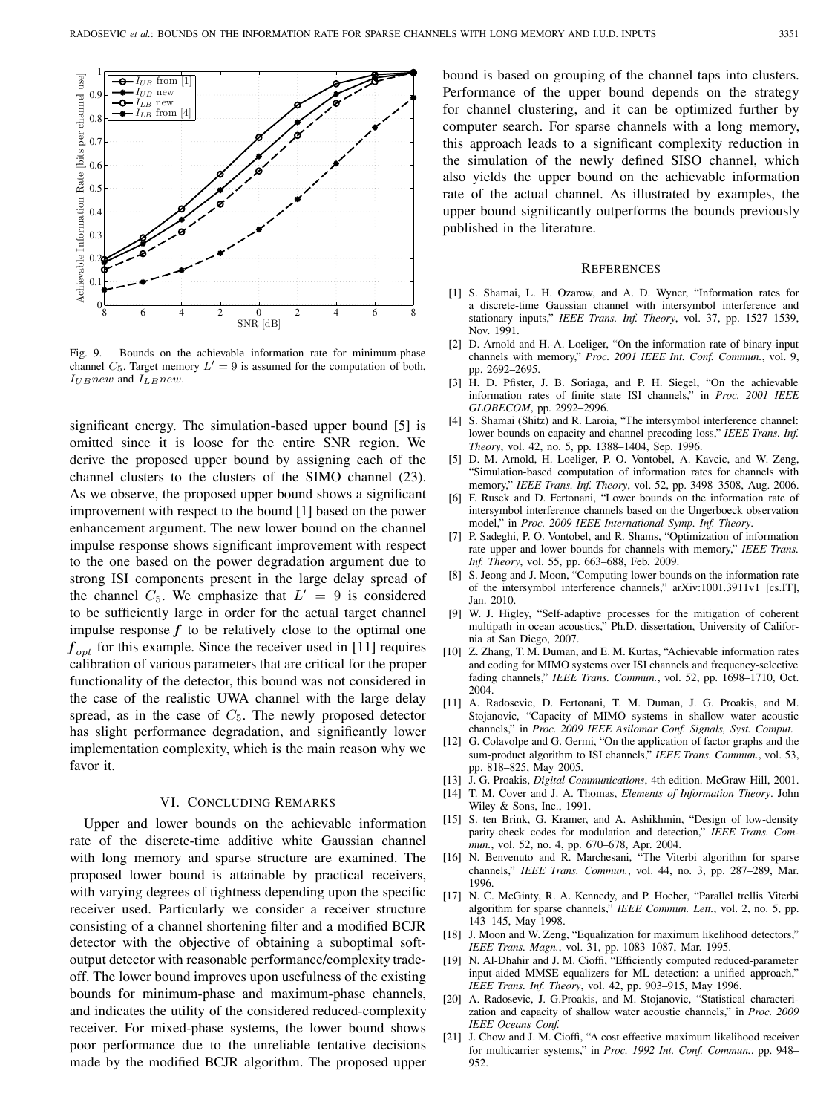

Fig. 9. Bounds on the achievable information rate for minimum-phase channel  $C_5$ . Target memory  $L' = 9$  is assumed for the computation of both,  $I_{UB}$  new and  $I_{LB}$  new.

significant energy. The simulation-based upper bound [5] is omitted since it is loose for the entire SNR region. We derive the proposed upper bound by assigning each of the channel clusters to the clusters of the SIMO channel (23). As we observe, the proposed upper bound shows a significant improvement with respect to the bound [1] based on the power enhancement argument. The new lower bound on the channel impulse response shows significant improvement with respect to the one based on the power degradation argument due to strong ISI components present in the large delay spread of the channel  $C_5$ . We emphasize that  $L' = 9$  is considered to be sufficiently large in order for the actual target channel impulse response  $f$  to be relatively close to the optimal one  $f_{\text{opt}}$  for this example. Since the receiver used in [11] requires calibration of various parameters that are critical for the proper functionality of the detector, this bound was not considered in the case of the realistic UWA channel with the large delay spread, as in the case of  $C_5$ . The newly proposed detector has slight performance degradation, and significantly lower implementation complexity, which is the main reason why we favor it.

#### VI. CONCLUDING REMARKS

Upper and lower bounds on the achievable information rate of the discrete-time additive white Gaussian channel with long memory and sparse structure are examined. The proposed lower bound is attainable by practical receivers, with varying degrees of tightness depending upon the specific receiver used. Particularly we consider a receiver structure consisting of a channel shortening filter and a modified BCJR detector with the objective of obtaining a suboptimal softoutput detector with reasonable performance/complexity tradeoff. The lower bound improves upon usefulness of the existing bounds for minimum-phase and maximum-phase channels, and indicates the utility of the considered reduced-complexity receiver. For mixed-phase systems, the lower bound shows poor performance due to the unreliable tentative decisions made by the modified BCJR algorithm. The proposed upper bound is based on grouping of the channel taps into clusters. Performance of the upper bound depends on the strategy for channel clustering, and it can be optimized further by computer search. For sparse channels with a long memory, this approach leads to a significant complexity reduction in the simulation of the newly defined SISO channel, which also yields the upper bound on the achievable information rate of the actual channel. As illustrated by examples, the upper bound significantly outperforms the bounds previously published in the literature.

#### **REFERENCES**

- [1] S. Shamai, L. H. Ozarow, and A. D. Wyner, "Information rates for a discrete-time Gaussian channel with intersymbol interference and stationary inputs," *IEEE Trans. Inf. Theory*, vol. 37, pp. 1527–1539, Nov. 1991.
- [2] D. Arnold and H.-A. Loeliger, "On the information rate of binary-input channels with memory," *Proc. 2001 IEEE Int. Conf. Commun.*, vol. 9, pp. 2692–2695.
- [3] H. D. Pfister, J. B. Soriaga, and P. H. Siegel, "On the achievable information rates of finite state ISI channels," in *Proc. 2001 IEEE GLOBECOM*, pp. 2992–2996.
- [4] S. Shamai (Shitz) and R. Laroia, "The intersymbol interference channel: lower bounds on capacity and channel precoding loss," *IEEE Trans. Inf. Theory*, vol. 42, no. 5, pp. 1388–1404, Sep. 1996.
- [5] D. M. Arnold, H. Loeliger, P. O. Vontobel, A. Kavcic, and W. Zeng, "Simulation-based computation of information rates for channels with memory," *IEEE Trans. Inf. Theory*, vol. 52, pp. 3498–3508, Aug. 2006.
- [6] F. Rusek and D. Fertonani, "Lower bounds on the information rate of intersymbol interference channels based on the Ungerboeck observation model," in *Proc. 2009 IEEE International Symp. Inf. Theory*.
- [7] P. Sadeghi, P. O. Vontobel, and R. Shams, "Optimization of information rate upper and lower bounds for channels with memory," *IEEE Trans. Inf. Theory*, vol. 55, pp. 663–688, Feb. 2009.
- [8] S. Jeong and J. Moon, "Computing lower bounds on the information rate of the intersymbol interference channels," arXiv:1001.3911v1 [cs.IT], Jan. 2010.
- [9] W. J. Higley, "Self-adaptive processes for the mitigation of coherent multipath in ocean acoustics," Ph.D. dissertation, University of California at San Diego, 2007.
- [10] Z. Zhang, T. M. Duman, and E. M. Kurtas, "Achievable information rates and coding for MIMO systems over ISI channels and frequency-selective fading channels," *IEEE Trans. Commun.*, vol. 52, pp. 1698–1710, Oct. 2004.
- [11] A. Radosevic, D. Fertonani, T. M. Duman, J. G. Proakis, and M. Stojanovic, "Capacity of MIMO systems in shallow water acoustic channels," in *Proc. 2009 IEEE Asilomar Conf. Signals, Syst. Comput.*
- [12] G. Colavolpe and G. Germi, "On the application of factor graphs and the sum-product algorithm to ISI channels," *IEEE Trans. Commun.*, vol. 53, pp. 818–825, May 2005.
- [13] J. G. Proakis, *Digital Communications*, 4th edition. McGraw-Hill, 2001.
- [14] T. M. Cover and J. A. Thomas, *Elements of Information Theory*. John Wiley & Sons, Inc., 1991.
- [15] S. ten Brink, G. Kramer, and A. Ashikhmin, "Design of low-density parity-check codes for modulation and detection," *IEEE Trans. Commun.*, vol. 52, no. 4, pp. 670–678, Apr. 2004.
- [16] N. Benvenuto and R. Marchesani, "The Viterbi algorithm for sparse channels," *IEEE Trans. Commun.*, vol. 44, no. 3, pp. 287–289, Mar. 1996.
- [17] N. C. McGinty, R. A. Kennedy, and P. Hoeher, "Parallel trellis Viterbi algorithm for sparse channels," *IEEE Commun. Lett.*, vol. 2, no. 5, pp. 143–145, May 1998.
- [18] J. Moon and W. Zeng, "Equalization for maximum likelihood detectors," *IEEE Trans. Magn.*, vol. 31, pp. 1083–1087, Mar. 1995.
- [19] N. Al-Dhahir and J. M. Cioffi, "Efficiently computed reduced-parameter input-aided MMSE equalizers for ML detection: a unified approach," *IEEE Trans. Inf. Theory*, vol. 42, pp. 903–915, May 1996.
- [20] A. Radosevic, J. G.Proakis, and M. Stojanovic, "Statistical characterization and capacity of shallow water acoustic channels," in *Proc. 2009 IEEE Oceans Conf.*
- [21] J. Chow and J. M. Cioffi, "A cost-effective maximum likelihood receiver for multicarrier systems," in *Proc. 1992 Int. Conf. Commun.*, pp. 948– 952.